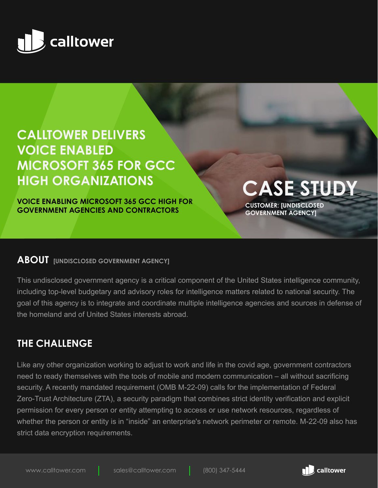

# **CALLTOWER DELIVERS VOICE ENABLED MICROSOFT 365 FOR GCC HIGH ORGANIZATIONS CASE STUDY**

**VOICE ENABLING MICROSOFT 365 GCC HIGH FOR GOVERNMENT AGENCIES AND CONTRACTORS**

**CUSTOMER: [UNDISCLOSED GOVERNMENT AGENCY]**

#### **ABOUT [UNDISCLOSED GOVERNMENT AGENCY]**

This undisclosed government agency is a critical component of the United States intelligence community, including top-level budgetary and advisory roles for intelligence matters related to national security. The goal of this agency is to integrate and coordinate multiple intelligence agencies and sources in defense of the homeland and of United States interests abroad.

### **THE CHALLENGE**

Like any other organization working to adjust to work and life in the covid age, government contractors need to ready themselves with the tools of mobile and modern communication – all without sacrificing security. A recently mandated requirement (OMB M-22-09) calls for the implementation of Federal Zero-Trust Architecture (ZTA), a security paradigm that combines strict identity verification and explicit permission for every person or entity attempting to access or use network resources, regardless of whether the person or entity is in "inside" an enterprise's network perimeter or remote. M-22-09 also has strict data encryption requirements.

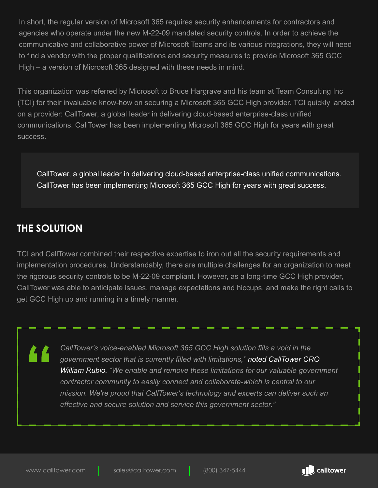In short, the regular version of Microsoft 365 requires security enhancements for contractors and agencies who operate under the new M-22-09 mandated security controls. In order to achieve the communicative and collaborative power of Microsoft Teams and its various integrations, they will need to find a vendor with the proper qualifications and security measures to provide Microsoft 365 GCC High – a version of Microsoft 365 designed with these needs in mind.

This organization was referred by Microsoft to Bruce Hargrave and his team at Team Consulting Inc (TCI) for their invaluable know-how on securing a Microsoft 365 GCC High provider. TCI quickly landed on a provider: CallTower, a global leader in delivering cloud-based enterprise-class unified communications. CallTower has been implementing Microsoft 365 GCC High for years with great success.

CallTower, a global leader in delivering cloud-based enterprise-class unified communications. CallTower has been implementing Microsoft 365 GCC High for years with great success.

## **THE SOLUTION**

TCI and CallTower combined their respective expertise to iron out all the security requirements and implementation procedures. Understandably, there are multiple challenges for an organization to meet the rigorous security controls to be M-22-09 compliant. However, as a long-time GCC High provider, CallTower was able to anticipate issues, manage expectations and hiccups, and make the right calls to get GCC High up and running in a timely manner.

> *CallTower's voice-enabled Microsoft 365 GCC High solution fills a void in the government sector that is currently filled with limitations," noted CallTower CRO William Rubio. "We enable and remove these limitations for our valuable government contractor community to easily connect and collaborate-which is central to our mission. We're proud that CallTower's technology and experts can deliver such an effective and secure solution and service this government sector."*

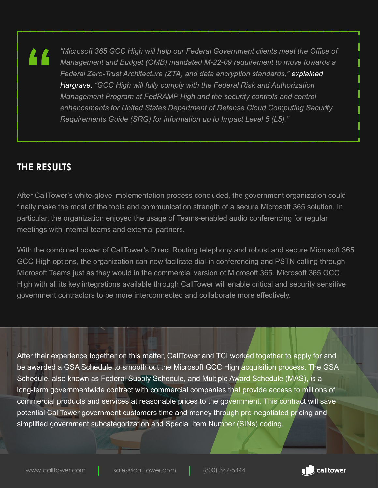*"Microsoft 365 GCC High will help our Federal Government clients meet the Office of Management and Budget (OMB) mandated M-22-09 requirement to move towards a Federal Zero-Trust Architecture (ZTA) and data encryption standards," explained Hargrave. "GCC High will fully comply with the Federal Risk and Authorization Management Program at FedRAMP High and the security controls and control enhancements for United States Department of Defense Cloud Computing Security Requirements Guide (SRG) for information up to Impact Level 5 (L5)."*

#### **THE RESULTS**

<u> 44</u>

After CallTower's white-glove implementation process concluded, the government organization could finally make the most of the tools and communication strength of a secure Microsoft 365 solution. In particular, the organization enjoyed the usage of Teams-enabled audio conferencing for regular meetings with internal teams and external partners.

With the combined power of CallTower's Direct Routing telephony and robust and secure Microsoft 365 GCC High options, the organization can now facilitate dial-in conferencing and PSTN calling through Microsoft Teams just as they would in the commercial version of Microsoft 365. Microsoft 365 GCC High with all its key integrations available through CallTower will enable critical and security sensitive government contractors to be more interconnected and collaborate more effectively.

After their experience together on this matter, CallTower and TCI worked together to apply for and be awarded a GSA Schedule to smooth out the Microsoft GCC High acquisition process. The GSA Schedule, also known as Federal Supply Schedule, and Multiple Award Schedule (MAS), is a long-term governmentwide contract with commercial companies that provide access to millions of commercial products and services at reasonable prices to the government. This contract will save potential CallTower government customers time and money through pre-negotiated pricing and simplified government subcategorization and Special Item Number (SINs) coding.